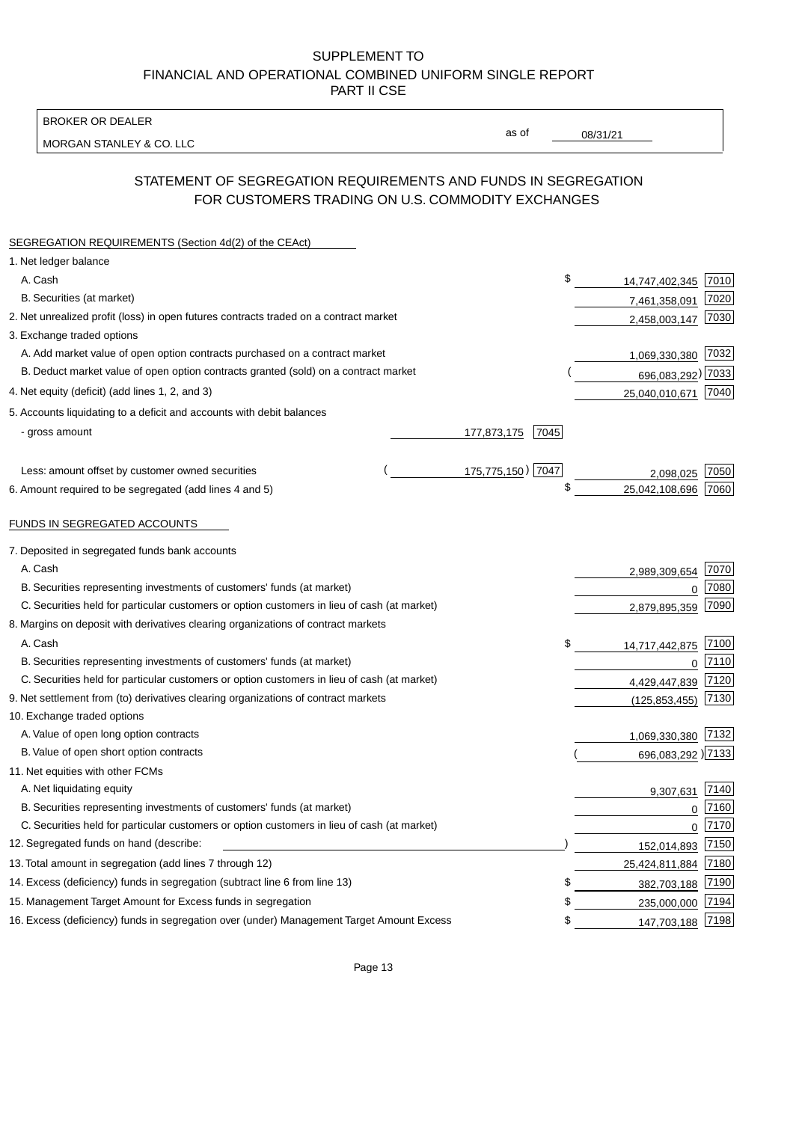BROKER OR DEALER

MORGAN STANLEY & CO. LLC

08/31/21

as of

# STATEMENT OF SEGREGATION REQUIREMENTS AND FUNDS IN SEGREGATION FOR CUSTOMERS TRADING ON U.S. COMMODITY EXCHANGES

| SEGREGATION REQUIREMENTS (Section 4d(2) of the CEAct)                                       |                     |                   |      |
|---------------------------------------------------------------------------------------------|---------------------|-------------------|------|
| 1. Net ledger balance                                                                       |                     |                   |      |
| A. Cash                                                                                     | \$                  | 14,747,402,345    | 7010 |
| B. Securities (at market)                                                                   |                     | 7,461,358,091     | 7020 |
| 2. Net unrealized profit (loss) in open futures contracts traded on a contract market       |                     | 2,458,003,147     | 7030 |
| 3. Exchange traded options                                                                  |                     |                   |      |
| A. Add market value of open option contracts purchased on a contract market                 |                     | 1,069,330,380     | 7032 |
| B. Deduct market value of open option contracts granted (sold) on a contract market         |                     | 696,083,292) 7033 |      |
| 4. Net equity (deficit) (add lines 1, 2, and 3)                                             |                     | 25,040,010,671    | 7040 |
| 5. Accounts liquidating to a deficit and accounts with debit balances                       |                     |                   |      |
| - gross amount                                                                              | 177,873,175<br>7045 |                   |      |
|                                                                                             |                     |                   |      |
| Less: amount offset by customer owned securities                                            | 175,775,150) 7047   | 2,098,025         | 7050 |
| 6. Amount required to be segregated (add lines 4 and 5)                                     | \$                  | 25,042,108,696    | 7060 |
| FUNDS IN SEGREGATED ACCOUNTS                                                                |                     |                   |      |
| 7. Deposited in segregated funds bank accounts                                              |                     |                   |      |
| A. Cash                                                                                     |                     | 2,989,309,654     | 7070 |
| B. Securities representing investments of customers' funds (at market)                      |                     | $\Omega$          | 7080 |
| C. Securities held for particular customers or option customers in lieu of cash (at market) |                     | 2,879,895,359     | 7090 |
| 8. Margins on deposit with derivatives clearing organizations of contract markets           |                     |                   |      |
| A. Cash                                                                                     | \$                  | 14,717,442,875    | 7100 |
| B. Securities representing investments of customers' funds (at market)                      |                     | $\mathbf{0}$      | 7110 |
| C. Securities held for particular customers or option customers in lieu of cash (at market) |                     | 4,429,447,839     | 7120 |
| 9. Net settlement from (to) derivatives clearing organizations of contract markets          |                     | (125, 853, 455)   | 7130 |
| 10. Exchange traded options                                                                 |                     |                   |      |
| A. Value of open long option contracts                                                      |                     | 1,069,330,380     | 7132 |
| B. Value of open short option contracts                                                     |                     | 696,083,292 )7133 |      |
| 11. Net equities with other FCMs                                                            |                     |                   |      |
| A. Net liquidating equity                                                                   |                     | 9,307,631         | 7140 |
| B. Securities representing investments of customers' funds (at market)                      |                     | $\mathbf{0}$      | 7160 |
| C. Securities held for particular customers or option customers in lieu of cash (at market) |                     | $\mathbf 0$       | 7170 |
| 12. Segregated funds on hand (describe:                                                     |                     | 152,014,893       | 7150 |
| 13. Total amount in segregation (add lines 7 through 12)                                    |                     | 25,424,811,884    | 7180 |
| 14. Excess (deficiency) funds in segregation (subtract line 6 from line 13)                 | \$                  | 382,703,188       | 7190 |
| 15. Management Target Amount for Excess funds in segregation                                | \$                  | 235,000,000       | 7194 |
| 16. Excess (deficiency) funds in segregation over (under) Management Target Amount Excess   | \$                  | 147,703,188       | 7198 |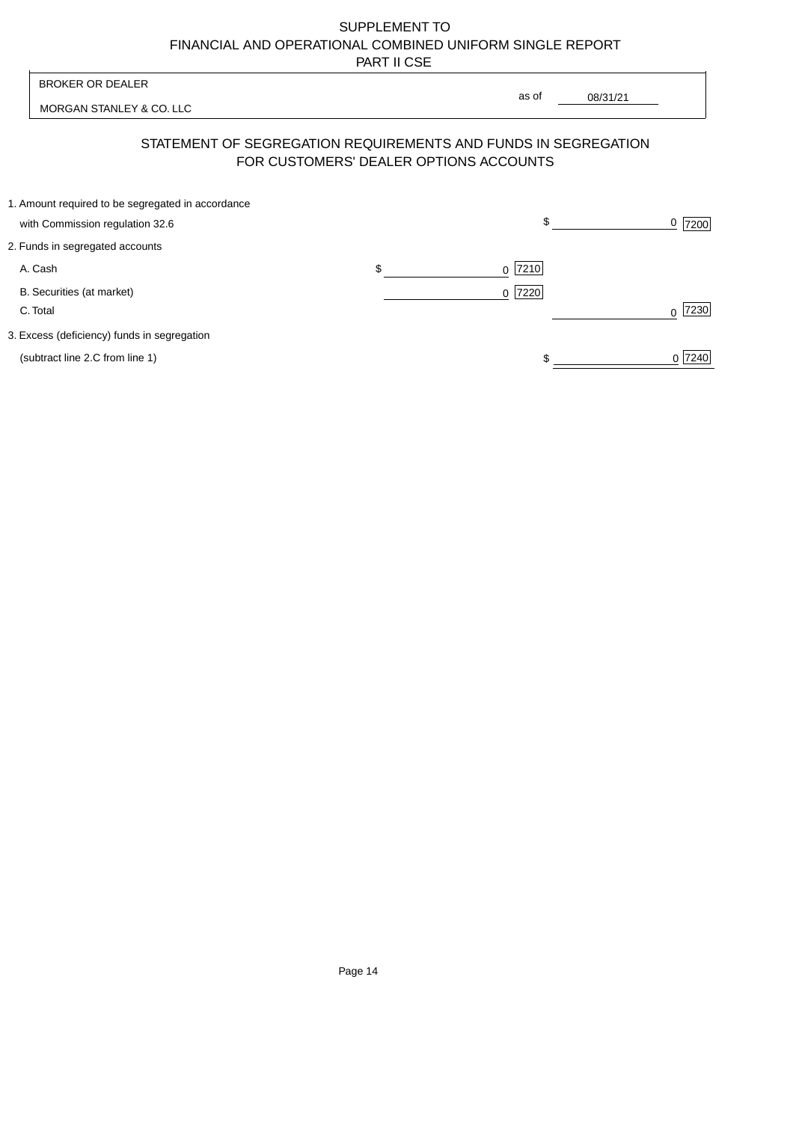|          | <b>BROKER OR DEALER</b>                                                              | as of                                  |           |
|----------|--------------------------------------------------------------------------------------|----------------------------------------|-----------|
|          | MORGAN STANLEY & CO. LLC                                                             |                                        | 08/31/21  |
|          | STATEMENT OF SEGREGATION REQUIREMENTS AND FUNDS IN SEGREGATION                       | FOR CUSTOMERS' DEALER OPTIONS ACCOUNTS |           |
|          | 1. Amount required to be segregated in accordance<br>with Commission regulation 32.6 | \$                                     | 7200      |
|          | 2. Funds in segregated accounts                                                      |                                        |           |
| A. Cash  |                                                                                      | \$<br> 7210 <br>$\Omega$               |           |
| C. Total | B. Securities (at market)                                                            | 7220<br>$\Omega$                       | 7230<br>∩ |
|          | 3. Excess (deficiency) funds in segregation                                          |                                        |           |
|          | (subtract line 2.C from line 1)                                                      |                                        | 0 7240    |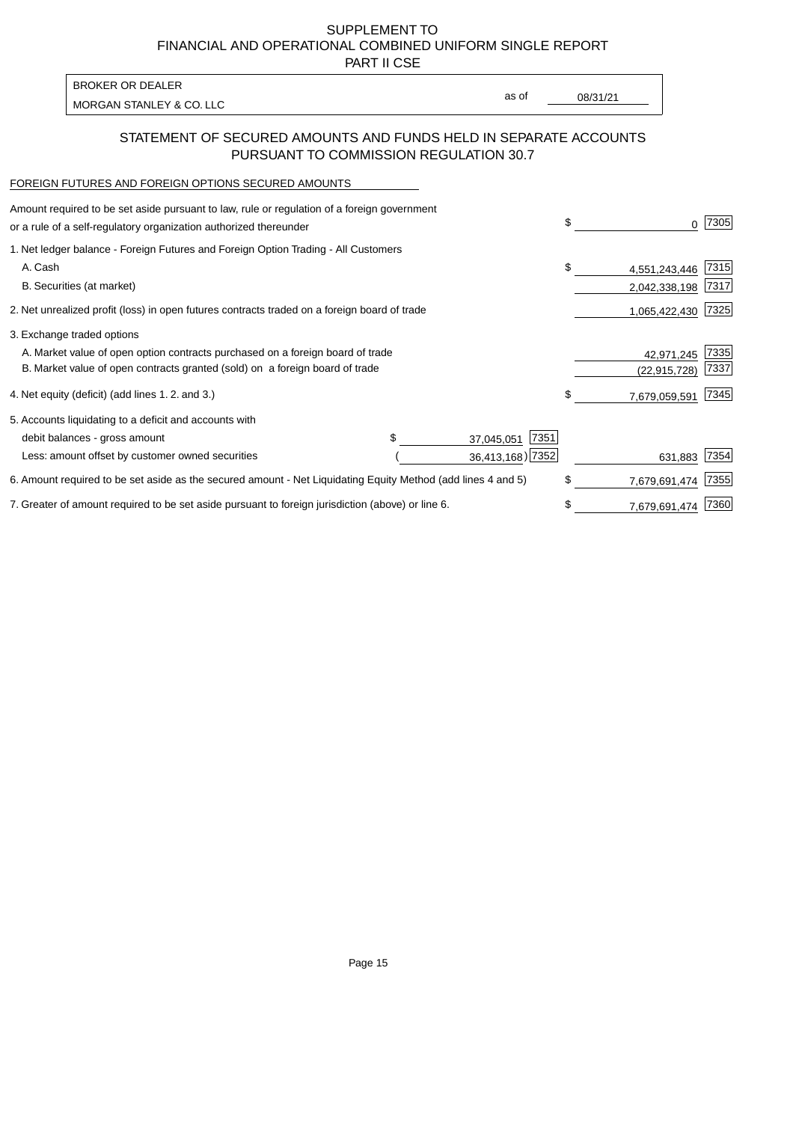PART II CSE

| <b>BROKER OR DEALER</b>  |       |          |
|--------------------------|-------|----------|
| MORGAN STANLEY & CO. LLC | as of | 08/31/21 |
|                          |       |          |

## STATEMENT OF SECURED AMOUNTS AND FUNDS HELD IN SEPARATE ACCOUNTS PURSUANT TO COMMISSION REGULATION 30.7

#### FOREIGN FUTURES AND FOREIGN OPTIONS SECURED AMOUNTS

| Amount required to be set aside pursuant to law, rule or regulation of a foreign government<br>or a rule of a self-regulatory organization authorized thereunder |  |                    | \$<br>0             | 7305 |
|------------------------------------------------------------------------------------------------------------------------------------------------------------------|--|--------------------|---------------------|------|
| 1. Net ledger balance - Foreign Futures and Foreign Option Trading - All Customers                                                                               |  |                    |                     |      |
| A. Cash                                                                                                                                                          |  |                    | \$<br>4,551,243,446 | 7315 |
| B. Securities (at market)                                                                                                                                        |  |                    | 2,042,338,198       | 7317 |
| 2. Net unrealized profit (loss) in open futures contracts traded on a foreign board of trade                                                                     |  |                    | 1,065,422,430       | 7325 |
| 3. Exchange traded options                                                                                                                                       |  |                    |                     |      |
| A. Market value of open option contracts purchased on a foreign board of trade                                                                                   |  |                    | 42,971,245          | 7335 |
| B. Market value of open contracts granted (sold) on a foreign board of trade                                                                                     |  |                    | (22,915,728)        | 7337 |
| 4. Net equity (deficit) (add lines 1.2. and 3.)                                                                                                                  |  |                    | \$<br>7,679,059,591 | 7345 |
| 5. Accounts liquidating to a deficit and accounts with                                                                                                           |  |                    |                     |      |
| debit balances - gross amount                                                                                                                                    |  | 7351<br>37,045,051 |                     |      |
| Less: amount offset by customer owned securities                                                                                                                 |  | 36,413,168) 7352   | 631,883             | 7354 |
| 6. Amount required to be set aside as the secured amount - Net Liquidating Equity Method (add lines 4 and 5)                                                     |  |                    | \$<br>7,679,691,474 | 7355 |
| 7. Greater of amount required to be set aside pursuant to foreign jurisdiction (above) or line 6.                                                                |  |                    | \$<br>7,679,691,474 | 7360 |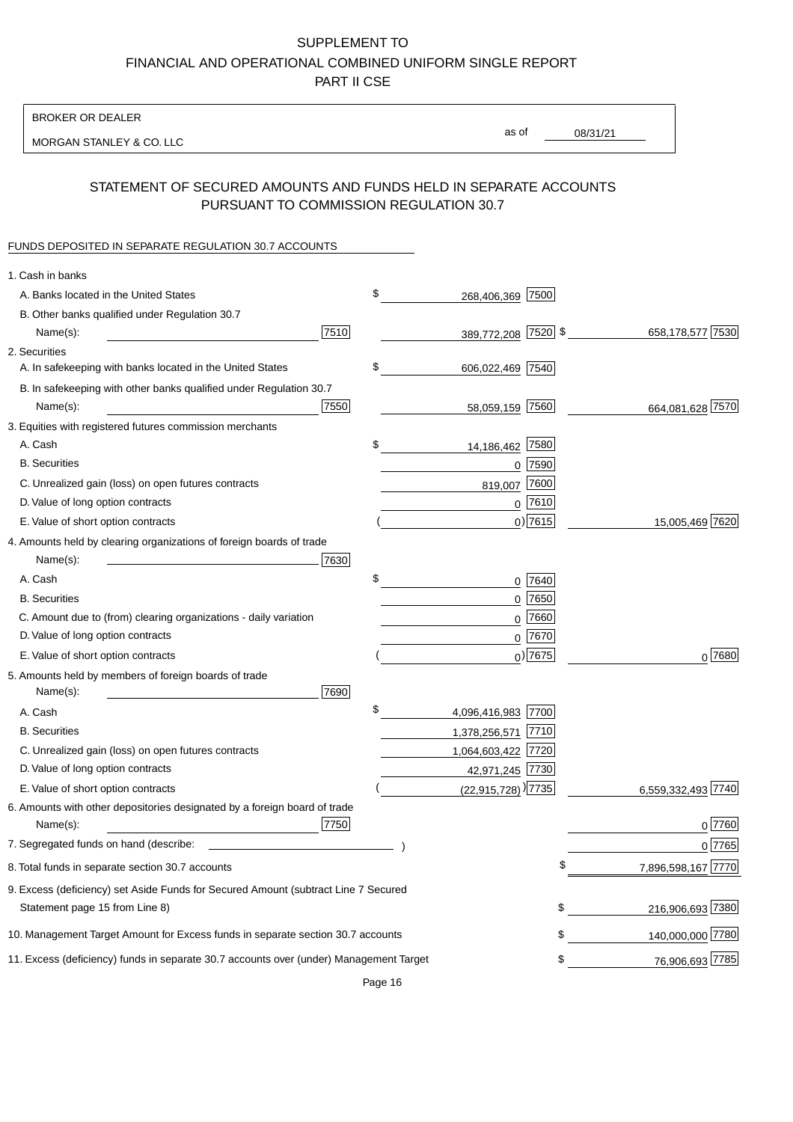BROKER OR DEALER

MORGAN STANLEY & CO. LLC

08/31/21 as of

## STATEMENT OF SECURED AMOUNTS AND FUNDS HELD IN SEPARATE ACCOUNTS PURSUANT TO COMMISSION REGULATION 30.7

### FUNDS DEPOSITED IN SEPARATE REGULATION 30.7 ACCOUNTS

| 1. Cash in banks                                                                                                     |      |                                    |             |                    |
|----------------------------------------------------------------------------------------------------------------------|------|------------------------------------|-------------|--------------------|
| A. Banks located in the United States                                                                                |      | \$<br>268,406,369                  | 7500        |                    |
| B. Other banks qualified under Regulation 30.7                                                                       |      |                                    |             |                    |
| Name(s):                                                                                                             | 7510 | 389,772,208 7520 \$                |             | 658,178,577 7530   |
| 2. Securities                                                                                                        |      |                                    |             |                    |
| A. In safekeeping with banks located in the United States                                                            |      | \$<br>606,022,469 7540             |             |                    |
| B. In safekeeping with other banks qualified under Regulation 30.7                                                   |      |                                    |             |                    |
| Name(s):                                                                                                             | 7550 | 58,059,159 7560                    |             | 664,081,628 7570   |
| 3. Equities with registered futures commission merchants                                                             |      |                                    |             |                    |
| A. Cash                                                                                                              |      | \$<br>14,186,462 7580              |             |                    |
| <b>B.</b> Securities                                                                                                 |      |                                    | $0$ 7590    |                    |
| C. Unrealized gain (loss) on open futures contracts                                                                  |      | 819,007                            | 7600        |                    |
| D. Value of long option contracts                                                                                    |      |                                    | $0$ 7610    |                    |
| E. Value of short option contracts                                                                                   |      |                                    | $0)$ 7615   | 15,005,469 7620    |
| 4. Amounts held by clearing organizations of foreign boards of trade                                                 |      |                                    |             |                    |
| Name(s):                                                                                                             | 7630 |                                    |             |                    |
| A. Cash                                                                                                              |      | \$                                 | 0 7640      |                    |
| <b>B.</b> Securities                                                                                                 |      |                                    | $0$ 7650    |                    |
| C. Amount due to (from) clearing organizations - daily variation                                                     |      | 0                                  | 7660        |                    |
| D. Value of long option contracts                                                                                    |      |                                    | 0 7670      |                    |
| E. Value of short option contracts                                                                                   |      |                                    | $_0$ ) 7675 | 0 7680             |
| 5. Amounts held by members of foreign boards of trade<br>Name(s):                                                    | 7690 |                                    |             |                    |
| A. Cash                                                                                                              |      | \$<br>4,096,416,983 7700           |             |                    |
| <b>B.</b> Securities                                                                                                 |      | 1,378,256,571 7710                 |             |                    |
| C. Unrealized gain (loss) on open futures contracts                                                                  |      | 1,064,603,422 7720                 |             |                    |
| D. Value of long option contracts                                                                                    |      | 42,971,245 7730                    |             |                    |
| E. Value of short option contracts                                                                                   |      | $(22,915,728)$ <sup>)</sup> [7735] |             | 6,559,332,493 7740 |
| 6. Amounts with other depositories designated by a foreign board of trade<br>Name(s):                                | 7750 |                                    |             | 0 7760             |
| 7. Segregated funds on hand (describe:                                                                               |      |                                    |             | 0 7765             |
| 8. Total funds in separate section 30.7 accounts                                                                     |      |                                    |             | 7,896,598,167 7770 |
|                                                                                                                      |      |                                    |             |                    |
| 9. Excess (deficiency) set Aside Funds for Secured Amount (subtract Line 7 Secured<br>Statement page 15 from Line 8) |      |                                    | \$          | 216,906,693 7380   |
| 10. Management Target Amount for Excess funds in separate section 30.7 accounts                                      |      |                                    | \$          | 140,000,000 7780   |
| 11. Excess (deficiency) funds in separate 30.7 accounts over (under) Management Target                               |      |                                    | \$          | 76,906,693 7785    |

Page 16